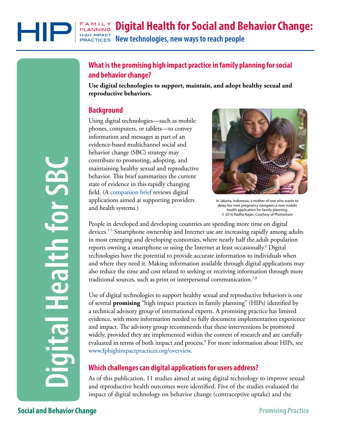**Digital Health for Social and Behavior Change:**

HIGH IMPACT **New technologies, new ways to reach people PRACTICES** 

# **What is the promising high impact practice in family planning for social and behavior change?**

**Use digital technologies to support, maintain, and adopt healthy sexual and reproductive behaviors.**

### **Background**

FAMILY<br>PLANNING

Using digital technologies—such as mobile phones, computers, or tablets—to convey information and messages as part of an evidence-based multichannel social and behavior change (SBC) strategy may contribute to promoting, adopting, and maintaining healthy sexual and reproductive behavior. This brief summarizes the current state of evidence in this rapidly changing field. ([A companion brief r](https://www.fphighimpactpractices.org/briefs/digital-health-systems/)eviews digital applications aimed at supporting providers and health systems.)



In Jakarta, Indonesia, a mother of one who wants to delay her next pregnancy navigates a new mobile health application for family planning. © 2016 Radha Rajan, Courtesy of Photoshare

People in developed and developing countries are spending more time on digital devices.1-5 Smartphone ownership and Internet use are increasing rapidly among adults in most emerging and developing economies, where nearly half the adult population reports owning a smartphone or using the Internet at least occasionally.6 Digital technologies have the potential to provide accurate information to individuals when and where they need it. Making information available through digital applications may also reduce the time and cost related to seeking or receiving information through more traditional sources, such as print or interpersonal communication.<sup>7,8</sup>

Use of digital technologies to support healthy sexual and reproductive behaviors is one of several **promising** "high impact practices in family planning" (HIPs) identified by a technical advisory group of international experts. A promising practice has limited evidence, with more information needed to fully document implementation experience and impact. The advisory group recommends that these interventions be promoted widely, provided they are implemented within the context of research and are carefully evaluated in terms of both impact and process.9 For more information about HIPs, see www.fphighimpactpractices.org/overview. contribute to promoting, adopting, and input<br>distribution of the simple main and tepreductive behavior. This bein<br>for the main and tepreductive between the main and tepreductive field. A companion brief reviews digital<br>and

## **Which challenges can digital applications for users address?**

As of this publication, 11 studies aimed at using digital technology to improve sexual and reproductive health outcomes were identified. Five of the studies evaluated the impact of digital technology on behavior change (contraceptive uptake) and the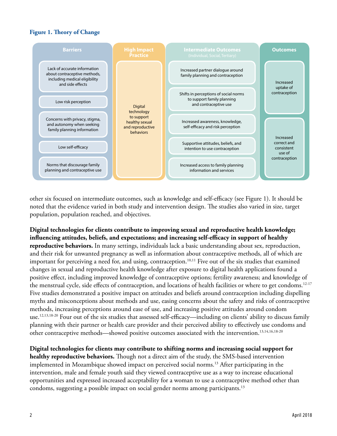#### **Figure 1. Theory of Change**



other six focused on intermediate outcomes, such as knowledge and self-efficacy (see Figure 1). It should be noted that the evidence varied in both study and intervention design. The studies also varied in size, target population, population reached, and objectives.

**Digital technologies for clients contribute to improving sexual and reproductive health knowledge; influencing attitudes, beliefs, and expectations; and increasing self-efficacy in support of healthy reproductive behaviors.** In many settings, individuals lack a basic understanding about sex, reproduction, and their risk for unwanted pregnancy as well as information about contraceptive methods, all of which are important for perceiving a need for, and using, contraception.<sup>10,11</sup> Five out of the six studies that examined changes in sexual and reproductive health knowledge after exposure to digital health applications found a positive effect, including improved knowledge of contraceptive options; fertility awareness; and knowledge of the menstrual cycle, side effects of contraception, and locations of health facilities or where to get condoms.<sup>12-17</sup> Five studies demonstrated a positive impact on attitudes and beliefs around contraception including dispelling myths and misconceptions about methods and use, easing concerns about the safety and risks of contraceptive methods, increasing perceptions around ease of use, and increasing positive attitudes around condom use.12,13,18-20 Four out of the six studies that assessed self-efficacy—including on clients' ability to discuss family planning with their partner or health care provider and their perceived ability to effectively use condoms and other contraceptive methods—showed positive outcomes associated with the intervention.<sup>13,14,16,18-20</sup>

**Digital technologies for clients may contribute to shifting norms and increasing social support for healthy reproductive behaviors.** Though not a direct aim of the study, the SMS-based intervention implemented in Mozambique showed impact on perceived social norms.13 After participating in the intervention, male and female youth said they viewed contraceptive use as a way to increase educational opportunities and expressed increased acceptability for a woman to use a contraceptive method other than condoms, suggesting a possible impact on social gender norms among participants.13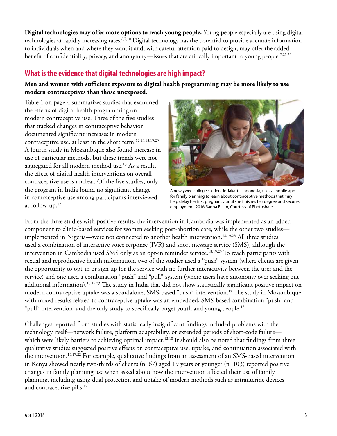**Digital technologies may offer more options to reach young people.** Young people especially are using digital technologies at rapidly increasing rates.<sup>6,7,10</sup> Digital technology has the potential to provide accurate information to individuals when and where they want it and, with careful attention paid to design, may offer the added benefit of confidentiality, privacy, and anonymity—issues that are critically important to young people.<sup>7,21,22</sup>

## **What is the evidence that digital technologies are high impact?**

### **Men and women with sufficient exposure to digital health programming may be more likely to use modern contraceptives than those unexposed.**

Table 1 on page 4 summarizes studies that examined the effects of digital health programming on modern contraceptive use. Three of the five studies that tracked changes in contraceptive behavior documented significant increases in modern contraceptive use, at least in the short term.<sup>12,13,18,19,23</sup> A fourth study in Mozambique also found increase in use of particular methods, but these trends were not aggregated for all modern method use.<sup>13</sup> As a result, the effect of digital health interventions on overall contraceptive use is unclear. Of the five studies, only the program in India found no significant change in contraceptive use among participants interviewed at follow-up.12



A newlywed college student in Jakarta, Indonesia, uses a mobile app for family planning to learn about contraceptive methods that may help delay her first pregnancy until she finishes her degree and secures employment. 2016 Radha Rajan, Courtesy of Photoshare.

From the three studies with positive results, the intervention in Cambodia was implemented as an added component to clinic-based services for women seeking post-abortion care, while the other two studies implemented in Nigeria—were not connected to another health intervention.<sup>18,19,23</sup> All three studies used a combination of interactive voice response (IVR) and short message service (SMS), although the intervention in Cambodia used SMS only as an opt-in reminder service.<sup>18,19,23</sup> To reach participants with sexual and reproductive health information, two of the studies used a "push" system (where clients are given the opportunity to opt-in or sign up for the service with no further interactivity between the user and the service) and one used a combination "push" and "pull" system (where users have autonomy over seeking out additional information).<sup>18,19,23</sup> The study in India that did not show statistically significant positive impact on modern contraceptive uptake was a standalone, SMS-based "push" intervention.12 The study in Mozambique with mixed results related to contraceptive uptake was an embedded, SMS-based combination "push" and "pull" intervention, and the only study to specifically target youth and young people.<sup>13</sup>

Challenges reported from studies with statistically insignificant findings included problems with the technology itself—network failure, platform adaptability, or extended periods of short-code failure which were likely barriers to achieving optimal impact.<sup>12,18</sup> It should also be noted that findings from three qualitative studies suggested positive effects on contraceptive use, uptake, and continuation associated with the intervention.<sup>14,17,22</sup> For example, qualitative findings from an assessment of an SMS-based intervention in Kenya showed nearly two-thirds of clients ( $n=67$ ) aged 19 years or younger ( $n=103$ ) reported positive changes in family planning use when asked about how the intervention affected their use of family planning, including using dual protection and uptake of modern methods such as intrauterine devices and contraceptive pills.<sup>17</sup>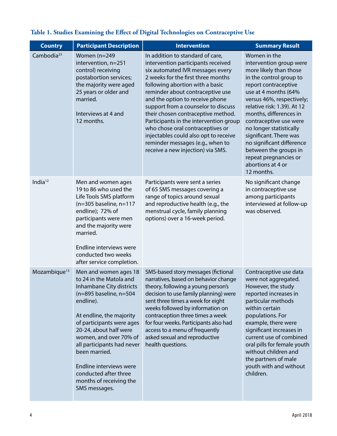| <b>Country</b>           | <b>Participant Description</b>                                                                                                                                                                                                                                                                                                                                                      | <b>Intervention</b>                                                                                                                                                                                                                                                                                                                                                                                                                                                                                                                     | <b>Summary Result</b>                                                                                                                                                                                                                                                                                                                                                                                                               |
|--------------------------|-------------------------------------------------------------------------------------------------------------------------------------------------------------------------------------------------------------------------------------------------------------------------------------------------------------------------------------------------------------------------------------|-----------------------------------------------------------------------------------------------------------------------------------------------------------------------------------------------------------------------------------------------------------------------------------------------------------------------------------------------------------------------------------------------------------------------------------------------------------------------------------------------------------------------------------------|-------------------------------------------------------------------------------------------------------------------------------------------------------------------------------------------------------------------------------------------------------------------------------------------------------------------------------------------------------------------------------------------------------------------------------------|
| Cambodia <sup>23</sup>   | Women (n=249<br>intervention, n=251<br>control) receiving<br>postabortion services;<br>the majority were aged<br>25 years or older and<br>married.<br>Interviews at 4 and<br>12 months.                                                                                                                                                                                             | In addition to standard of care,<br>intervention participants received<br>six automated IVR messages every<br>2 weeks for the first three months<br>following abortion with a basic<br>reminder about contraceptive use<br>and the option to receive phone<br>support from a counselor to discuss<br>their chosen contraceptive method.<br>Participants in the intervention group<br>who chose oral contraceptives or<br>injectables could also opt to receive<br>reminder messages (e.g., when to<br>receive a new injection) via SMS. | Women in the<br>intervention group were<br>more likely than those<br>in the control group to<br>report contraceptive<br>use at 4 months (64%<br>versus 46%, respectively;<br>relative risk: 1.39). At 12<br>months, differences in<br>contraceptive use were<br>no longer statistically<br>significant. There was<br>no significant difference<br>between the groups in<br>repeat pregnancies or<br>abortions at 4 or<br>12 months. |
| India $12$               | Men and women ages<br>19 to 86 who used the<br>Life Tools SMS platform<br>$(n=305$ baseline, $n=117$<br>endline); 72% of<br>participants were men<br>and the majority were<br>married.<br>Endline interviews were<br>conducted two weeks<br>after service completion.                                                                                                               | Participants were sent a series<br>of 65 SMS messages covering a<br>range of topics around sexual<br>and reproductive health (e.g., the<br>menstrual cycle, family planning<br>options) over a 16-week period.                                                                                                                                                                                                                                                                                                                          | No significant change<br>in contraceptive use<br>among participants<br>interviewed at follow-up<br>was observed.                                                                                                                                                                                                                                                                                                                    |
| Mozambique <sup>13</sup> | Men and women ages 18<br>to 24 in the Matola and<br>Inhambane City districts<br>$(n=895$ baseline, $n=504$<br>endline).<br>At endline, the majority<br>of participants were ages<br>20-24, about half were<br>women, and over 70% of<br>all participants had never<br>been married.<br>Endline interviews were<br>conducted after three<br>months of receiving the<br>SMS messages. | SMS-based story messages (fictional<br>narratives, based on behavior change<br>theory, following a young person's<br>decision to use family planning) were<br>sent three times a week for eight<br>weeks followed by information on<br>contraception three times a week<br>for four weeks. Participants also had<br>access to a menu of frequently<br>asked sexual and reproductive<br>health questions.                                                                                                                                | Contraceptive use data<br>were not aggregated.<br>However, the study<br>reported increases in<br>particular methods<br>within certain<br>populations. For<br>example, there were<br>significant increases in<br>current use of combined<br>oral pills for female youth<br>without children and<br>the partners of male<br>youth with and without<br>children.                                                                       |

# **Table 1. Studies Examining the Effect of Digital Technologies on Contraceptive Use**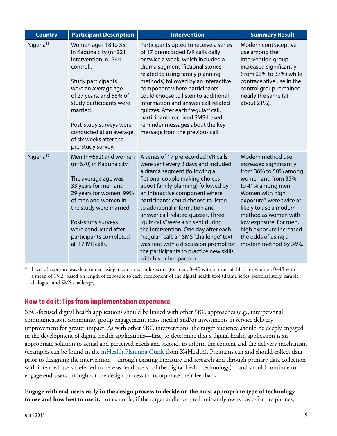| <b>Country</b>        | <b>Participant Description</b>                                                                                                                                                                                                                                                                       | <b>Intervention</b>                                                                                                                                                                                                                                                                                                                                                                                                                                                                                                                                                           | <b>Summary Result</b>                                                                                                                                                                                                                                                                                                 |
|-----------------------|------------------------------------------------------------------------------------------------------------------------------------------------------------------------------------------------------------------------------------------------------------------------------------------------------|-------------------------------------------------------------------------------------------------------------------------------------------------------------------------------------------------------------------------------------------------------------------------------------------------------------------------------------------------------------------------------------------------------------------------------------------------------------------------------------------------------------------------------------------------------------------------------|-----------------------------------------------------------------------------------------------------------------------------------------------------------------------------------------------------------------------------------------------------------------------------------------------------------------------|
| Nigeria <sup>18</sup> | Women ages 18 to 35<br>in Kaduna city (n=221<br>intervention, n=344<br>control).<br>Study participants<br>were an average age<br>of 27 years, and 58% of<br>study participants were<br>married.<br>Post-study surveys were<br>conducted at an average<br>of six weeks after the<br>pre-study survey. | Participants opted to receive a series<br>of 17 prerecorded IVR calls daily<br>or twice a week, which included a<br>drama segment (fictional stories<br>related to using family planning<br>methods) followed by an interactive<br>component where participants<br>could choose to listen to additional<br>information and answer call-related<br>quizzes. After each "regular" call,<br>participants received SMS-based<br>reminder messages about the key<br>message from the previous call.                                                                                | Modern contraceptive<br>use among the<br>intervention group<br>increased significantly<br>(from 23% to 37%) while<br>contraceptive use in the<br>control group remained<br>nearly the same (at<br>about 21%).                                                                                                         |
| Nigeria <sup>19</sup> | Men (n=652) and women<br>(n=670) in Kaduna city.<br>The average age was<br>33 years for men and<br>29 years for women; 99%<br>of men and women in<br>the study were married.<br>Post-study surveys<br>were conducted after<br>participants completed<br>all 17 IVR calls.                            | A series of 17 prerecorded IVR calls<br>were sent every 2 days and included<br>a drama segment (following a<br>fictional couple making choices<br>about family planning) followed by<br>an interactive component where<br>participants could choose to listen<br>to additional information and<br>answer call-related quizzes. Three<br>"quiz calls" were also sent during<br>the intervention. One day after each<br>"regular" call, an SMS "challenge" text<br>was sent with a discussion prompt for<br>the participants to practice new skills<br>with his or her partner. | Modern method use<br>increased significantly<br>from 36% to 50% among<br>women and from 35%<br>to 41% among men.<br>Women with high<br>exposure* were twice as<br>likely to use a modern<br>method as women with<br>low exposure. For men,<br>high exposure increased<br>the odds of using a<br>modern method by 36%. |

\* Level of exposure was determined using a combined index score (for men, 0–49 with a mean of 14.1; for women, 0–48 with a mean of 15.2) based on length of exposure to each component of the digital health tool (drama series, personal story, sample dialogue, and SMS challenge).

### **How to do it: Tips from implementation experience**

SBC-focused digital health applications should be linked with other SBC approaches (e.g., interpersonal communication, community group engagement, mass media) and/or investments in service delivery improvement for greater impact. As with other SBC interventions, the target audience should be deeply engaged in the development of digital health applications—first, to determine that a digital health application is an appropriate solution to actual and perceived needs and second, to inform the content and the delivery mechanism (examples can be found in th[e mHealth Planning Guide f](https://www.k4health.org/toolkits/mhealth-planning-guide)rom K4Health). Programs can and should collect data prior to designing the intervention—through existing literature and research and through primary data collection with intended users (referred to here as "end-users" of the digital health technology)—and should continue to engage end-users throughout the design process to incorporate their feedback.

**Engage with end-users early in the design process to decide on the most appropriate type of technology to use and how best to use it.** For example, if the target audience predominantly owns basic-feature phones,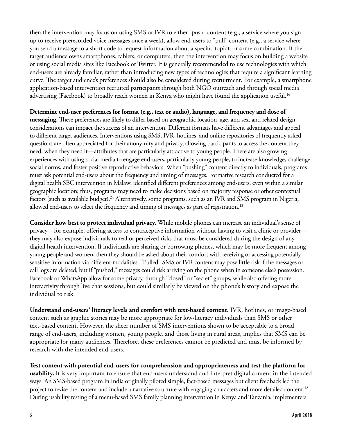then the intervention may focus on using SMS or IVR to either "push" content (e.g., a service where you sign up to receive prerecorded voice messages once a week), allow end-users to "pull" content (e.g., a service where you send a message to a short code to request information about a specific topic), or some combination. If the target audience owns smartphones, tablets, or computers, then the intervention may focus on building a website or using social media sites like Facebook or Twitter. It is generally recommended to use technologies with which end-users are already familiar, rather than introducing new types of technologies that require a significant learning curve. The target audience's preferences should also be considered during recruitment. For example, a smartphone application-based intervention recruited participants through both NGO outreach and through social media advertising (Facebook) to broadly reach women in Kenya who might have found the application useful.<sup>16</sup>

#### **Determine end-user preferences for format (e.g., text or audio), language, and frequency and dose of**

**messaging.** These preferences are likely to differ based on geographic location, age, and sex, and related design considerations can impact the success of an intervention. Different formats have different advantages and appeal to different target audiences. Interventions using SMS, IVR, hotlines, and online repositories of frequently asked questions are often appreciated for their anonymity and privacy, allowing participants to access the content they need, when they need it—attributes that are particularly attractive to young people. There are also growing experiences with using social media to engage end-users, particularly young people, to increase knowledge, challenge social norms, and foster positive reproductive behaviors. When "pushing" content directly to individuals, programs must ask potential end-users about the frequency and timing of messages. Formative research conducted for a digital health SBC intervention in Malawi identified different preferences among end-users, even within a similar geographic location; thus, programs may need to make decisions based on majority response or other contextual factors (such as available budget).<sup>24</sup> Alternatively, some programs, such as an IVR and SMS program in Nigeria, allowed end-users to select the frequency and timing of messages as part of registration.18

**Consider how best to protect individual privacy.** While mobile phones can increase an individual's sense of privacy—for example, offering access to contraceptive information without having to visit a clinic or provider they may also expose individuals to real or perceived risks that must be considered during the design of any digital health intervention. If individuals are sharing or borrowing phones, which may be more frequent among young people and women, then they should be asked about their comfort with receiving or accessing potentially sensitive information via different modalities. "Pulled" SMS or IVR content may pose little risk if the messages or call logs are deleted, but if "pushed," messages could risk arriving on the phone when in someone else's possession. Facebook or WhatsApp allow for some privacy, through "closed" or "secret" groups, while also offering more interactivity through live chat sessions, but could similarly be viewed on the phone's history and expose the individual to risk.

**Understand end-users' literacy levels and comfort with text-based content.** IVR, hotlines, or image-based content such as graphic stories may be more appropriate for low-literacy individuals than SMS or other text-based content. However, the sheer number of SMS interventions shown to be acceptable to a broad range of end-users, including women, young people, and those living in rural areas, implies that SMS can be appropriate for many audiences. Therefore, these preferences cannot be predicted and must be informed by research with the intended end-users.

**Test content with potential end-users for comprehension and appropriateness and test the platform for usability.** It is very important to ensure that end-users understand and interpret digital content in the intended ways. An SMS-based program in India originally piloted simple, fact-based messages but client feedback led the project to revise the content and include a narrative structure with engaging characters and more detailed content.<sup>12</sup> During usability testing of a menu-based SMS family planning intervention in Kenya and Tanzania, implementers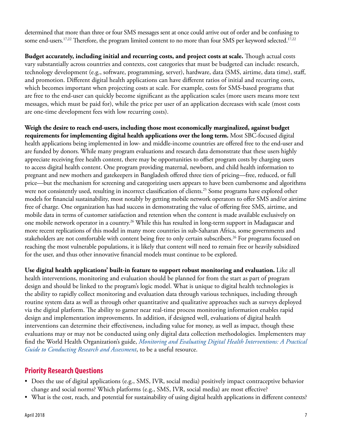determined that more than three or four SMS messages sent at once could arrive out of order and be confusing to some end-users.<sup>17,22</sup> Therefore, the program limited content to no more than four SMS per keyword selected.<sup>17,22</sup>

**Budget accurately, including initial and recurring costs, and project costs at scale.** Though actual costs vary substantially across countries and contexts, cost categories that must be budgeted can include: research, technology development (e.g., software, programming, server), hardware, data (SMS, airtime, data time), staff, and promotion. Different digital health applications can have different ratios of initial and recurring costs, which becomes important when projecting costs at scale. For example, costs for SMS-based programs that are free to the end-user can quickly become significant as the application scales (more users means more text messages, which must be paid for), while the price per user of an application decreases with scale (most costs are one-time development fees with low recurring costs).

**Weigh the desire to reach end-users, including those most economically marginalized, against budget requirements for implementing digital health applications over the long term.** Most SBC-focused digital health applications being implemented in low- and middle-income countries are offered free to the end-user and are funded by donors. While many program evaluations and research data demonstrate that these users highly appreciate receiving free health content, there may be opportunities to offset program costs by charging users to access digital health content. One program providing maternal, newborn, and child health information to pregnant and new mothers and gatekeepers in Bangladesh offered three tiers of pricing—free, reduced, or full price—but the mechanism for screening and categorizing users appears to have been cumbersome and algorithms were not consistently used, resulting in incorrect classification of clients.<sup>25</sup> Some programs have explored other models for financial sustainability, most notably by getting mobile network operators to offer SMS and/or airtime free of charge. One organization has had success in demonstrating the value of offering free SMS, airtime, and mobile data in terms of customer satisfaction and retention when the content is made available exclusively on one mobile network operator in a country.<sup>26</sup> While this has resulted in long-term support in Madagascar and more recent replications of this model in many more countries in sub-Saharan Africa, some governments and stakeholders are not comfortable with content being free to only certain subscribers.<sup>26</sup> For programs focused on reaching the most vulnerable populations, it is likely that content will need to remain free or heavily subsidized for the user, and thus other innovative financial models must continue to be explored.

**Use digital health applications' built-in feature to support robust monitoring and evaluation.** Like all health interventions, monitoring and evaluation should be planned for from the start as part of program design and should be linked to the program's logic model. What is unique to digital health technologies is the ability to rapidly collect monitoring and evaluation data through various techniques, including through routine system data as well as through other quantitative and qualitative approaches such as surveys deployed via the digital platform. The ability to garner near real-time process monitoring information enables rapid design and implementation improvements. In addition, if designed well, evaluations of digital health interventions can determine their effectiveness, including value for money, as well as impact, though these evaluations may or may not be conducted using only digital data collection methodologies. Implementers may find the World Health Organization's guide, *[Monitoring and Evaluating Digital Health Interventions: A Practical](http://www.who.int/reproductivehealth/publications/mhealth/digital-health-interventions/en/)  [Guide to Conducting Research and Assessment](http://www.who.int/reproductivehealth/publications/mhealth/digital-health-interventions/en/)*, to be a useful resource.

### **Priority Research Questions**

- Does the use of digital applications (e.g., SMS, IVR, social media) positively impact contraceptive behavior change and social norms? Which platforms (e.g., SMS, IVR, social media) are most effective?
- What is the cost, reach, and potential for sustainability of using digital health applications in different contexts?